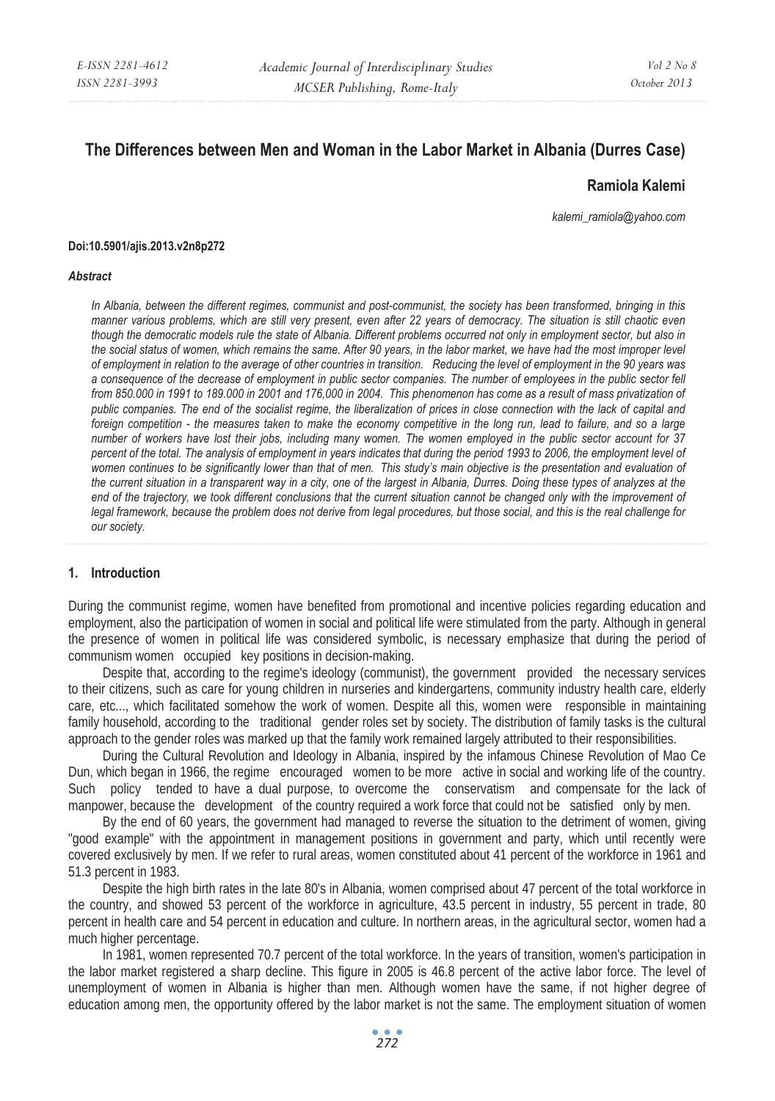# **The Differences between Men and Woman in the Labor Market in Albania (Durres Case)**

#### **Ramiola Kalemi**

*kalemi\_ramiola@yahoo.com* 

#### **Doi:10.5901/ajis.2013.v2n8p272**

#### *Abstract*

*In Albania, between the different regimes, communist and post-communist, the society has been transformed, bringing in this manner various problems, which are still very present, even after 22 years of democracy. The situation is still chaotic even though the democratic models rule the state of Albania. Different problems occurred not only in employment sector, but also in the social status of women, which remains the same. After 90 years, in the labor market, we have had the most improper level of employment in relation to the average of other countries in transition. Reducing the level of employment in the 90 years was a consequence of the decrease of employment in public sector companies. The number of employees in the public sector fell from 850.000 in 1991 to 189.000 in 2001 and 176,000 in 2004. This phenomenon has come as a result of mass privatization of public companies. The end of the socialist regime, the liberalization of prices in close connection with the lack of capital and foreign competition - the measures taken to make the economy competitive in the long run, lead to failure, and so a large number of workers have lost their jobs, including many women. The women employed in the public sector account for 37 percent of the total. The analysis of employment in years indicates that during the period 1993 to 2006, the employment level of women continues to be significantly lower than that of men. This study's main objective is the presentation and evaluation of the current situation in a transparent way in a city, one of the largest in Albania, Durres. Doing these types of analyzes at the*  end of the trajectory, we took different conclusions that the current situation cannot be changed only with the improvement of *legal framework, because the problem does not derive from legal procedures, but those social, and this is the real challenge for our society.* 

#### **1. Introduction**

During the communist regime, women have benefited from promotional and incentive policies regarding education and employment, also the participation of women in social and political life were stimulated from the party. Although in general the presence of women in political life was considered symbolic, is necessary emphasize that during the period of communism women occupied key positions in decision-making.

Despite that, according to the regime's ideology (communist), the government provided the necessary services to their citizens, such as care for young children in nurseries and kindergartens, community industry health care, elderly care, etc..., which facilitated somehow the work of women. Despite all this, women were responsible in maintaining family household, according to the traditional gender roles set by society. The distribution of family tasks is the cultural approach to the gender roles was marked up that the family work remained largely attributed to their responsibilities.

During the Cultural Revolution and Ideology in Albania, inspired by the infamous Chinese Revolution of Mao Ce Dun, which began in 1966, the regime encouraged women to be more active in social and working life of the country. Such policy tended to have a dual purpose, to overcome the conservatism and compensate for the lack of manpower, because the development of the country required a work force that could not be satisfied only by men.

By the end of 60 years, the government had managed to reverse the situation to the detriment of women, giving "good example" with the appointment in management positions in government and party, which until recently were covered exclusively by men. If we refer to rural areas, women constituted about 41 percent of the workforce in 1961 and 51.3 percent in 1983.

Despite the high birth rates in the late 80's in Albania, women comprised about 47 percent of the total workforce in the country, and showed 53 percent of the workforce in agriculture, 43.5 percent in industry, 55 percent in trade, 80 percent in health care and 54 percent in education and culture. In northern areas, in the agricultural sector, women had a much higher percentage.

In 1981, women represented 70.7 percent of the total workforce. In the years of transition, women's participation in the labor market registered a sharp decline. This figure in 2005 is 46.8 percent of the active labor force. The level of unemployment of women in Albania is higher than men. Although women have the same, if not higher degree of education among men, the opportunity offered by the labor market is not the same. The employment situation of women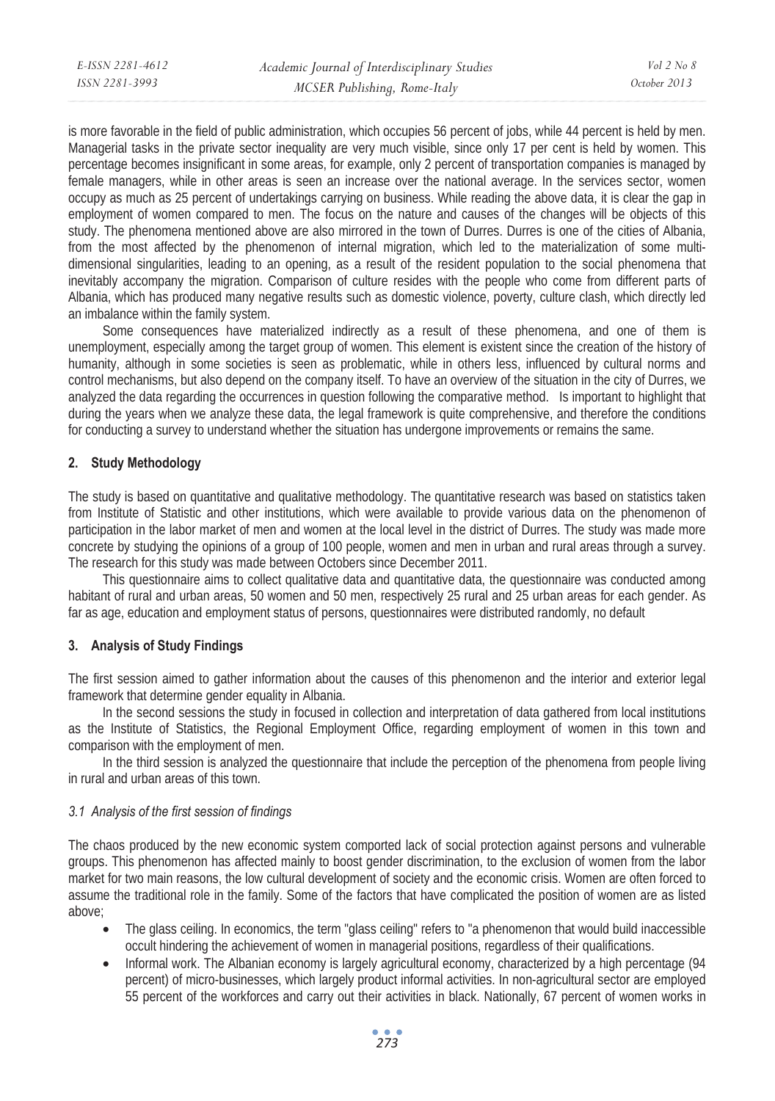is more favorable in the field of public administration, which occupies 56 percent of jobs, while 44 percent is held by men. Managerial tasks in the private sector inequality are very much visible, since only 17 per cent is held by women. This percentage becomes insignificant in some areas, for example, only 2 percent of transportation companies is managed by female managers, while in other areas is seen an increase over the national average. In the services sector, women occupy as much as 25 percent of undertakings carrying on business. While reading the above data, it is clear the gap in employment of women compared to men. The focus on the nature and causes of the changes will be objects of this study. The phenomena mentioned above are also mirrored in the town of Durres. Durres is one of the cities of Albania, from the most affected by the phenomenon of internal migration, which led to the materialization of some multidimensional singularities, leading to an opening, as a result of the resident population to the social phenomena that inevitably accompany the migration. Comparison of culture resides with the people who come from different parts of Albania, which has produced many negative results such as domestic violence, poverty, culture clash, which directly led an imbalance within the family system.

Some consequences have materialized indirectly as a result of these phenomena, and one of them is unemployment, especially among the target group of women. This element is existent since the creation of the history of humanity, although in some societies is seen as problematic, while in others less, influenced by cultural norms and control mechanisms, but also depend on the company itself. To have an overview of the situation in the city of Durres, we analyzed the data regarding the occurrences in question following the comparative method. Is important to highlight that during the years when we analyze these data, the legal framework is quite comprehensive, and therefore the conditions for conducting a survey to understand whether the situation has undergone improvements or remains the same.

# **2. Study Methodology**

The study is based on quantitative and qualitative methodology. The quantitative research was based on statistics taken from Institute of Statistic and other institutions, which were available to provide various data on the phenomenon of participation in the labor market of men and women at the local level in the district of Durres. The study was made more concrete by studying the opinions of a group of 100 people, women and men in urban and rural areas through a survey. The research for this study was made between Octobers since December 2011.

This questionnaire aims to collect qualitative data and quantitative data, the questionnaire was conducted among habitant of rural and urban areas, 50 women and 50 men, respectively 25 rural and 25 urban areas for each gender. As far as age, education and employment status of persons, questionnaires were distributed randomly, no default

# **3. Analysis of Study Findings**

The first session aimed to gather information about the causes of this phenomenon and the interior and exterior legal framework that determine gender equality in Albania.

In the second sessions the study in focused in collection and interpretation of data gathered from local institutions as the Institute of Statistics, the Regional Employment Office, regarding employment of women in this town and comparison with the employment of men.

In the third session is analyzed the questionnaire that include the perception of the phenomena from people living in rural and urban areas of this town.

# *3.1 Analysis of the first session of findings*

The chaos produced by the new economic system comported lack of social protection against persons and vulnerable groups. This phenomenon has affected mainly to boost gender discrimination, to the exclusion of women from the labor market for two main reasons, the low cultural development of society and the economic crisis. Women are often forced to assume the traditional role in the family. Some of the factors that have complicated the position of women are as listed above;

- The glass ceiling. In economics, the term "glass ceiling" refers to "a phenomenon that would build inaccessible occult hindering the achievement of women in managerial positions, regardless of their qualifications.
- Informal work. The Albanian economy is largely agricultural economy, characterized by a high percentage (94 percent) of micro-businesses, which largely product informal activities. In non-agricultural sector are employed 55 percent of the workforces and carry out their activities in black. Nationally, 67 percent of women works in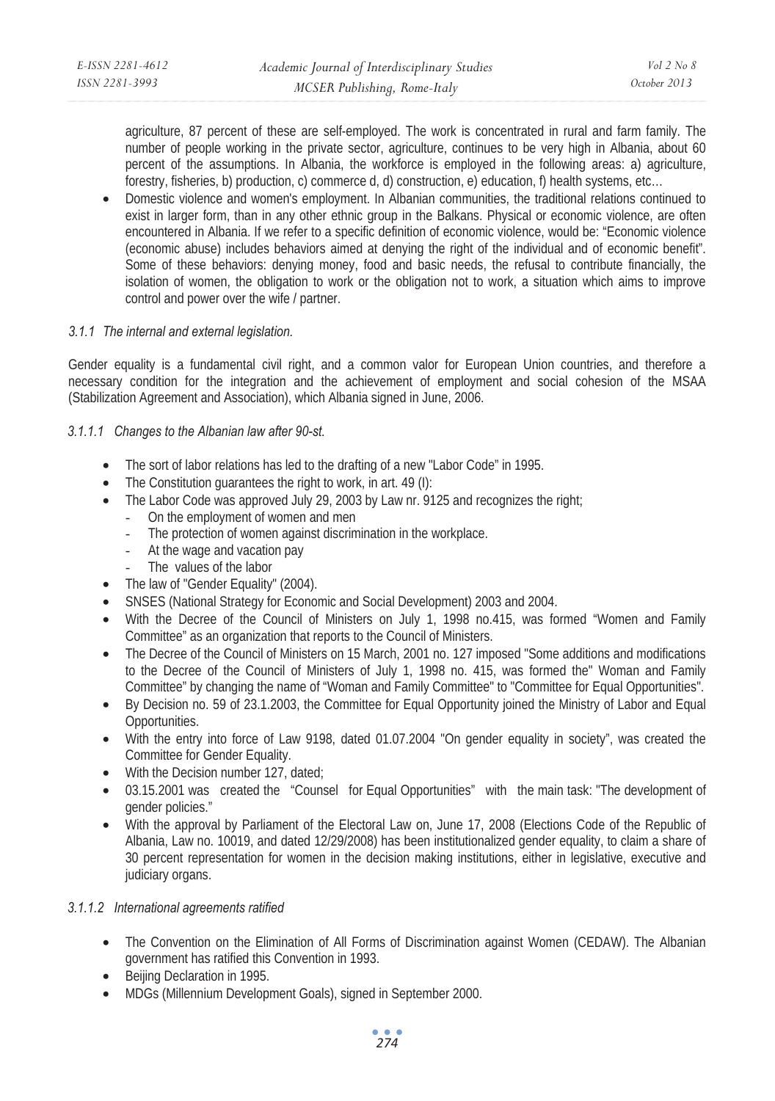agriculture, 87 percent of these are self-employed. The work is concentrated in rural and farm family. The number of people working in the private sector, agriculture, continues to be very high in Albania, about 60 percent of the assumptions. In Albania, the workforce is employed in the following areas: a) agriculture, forestry, fisheries, b) production, c) commerce d, d) construction, e) education, f) health systems, etc…

• Domestic violence and women's employment. In Albanian communities, the traditional relations continued to exist in larger form, than in any other ethnic group in the Balkans. Physical or economic violence, are often encountered in Albania. If we refer to a specific definition of economic violence, would be: "Economic violence (economic abuse) includes behaviors aimed at denying the right of the individual and of economic benefit". Some of these behaviors: denying money, food and basic needs, the refusal to contribute financially, the isolation of women, the obligation to work or the obligation not to work, a situation which aims to improve control and power over the wife / partner.

# *3.1.1 The internal and external legislation.*

Gender equality is a fundamental civil right, and a common valor for European Union countries, and therefore a necessary condition for the integration and the achievement of employment and social cohesion of the MSAA (Stabilization Agreement and Association), which Albania signed in June, 2006.

#### *3.1.1.1 Changes to the Albanian law after 90-st.*

- The sort of labor relations has led to the drafting of a new "Labor Code" in 1995.
- The Constitution guarantees the right to work, in art. 49 (I):
- The Labor Code was approved July 29, 2003 by Law nr. 9125 and recognizes the right;
	- On the employment of women and men
	- The protection of women against discrimination in the workplace.
	- At the wage and vacation pay
	- The values of the labor
- The law of "Gender Equality" (2004).
- SNSES (National Strategy for Economic and Social Development) 2003 and 2004.
- With the Decree of the Council of Ministers on July 1, 1998 no.415, was formed "Women and Family Committee" as an organization that reports to the Council of Ministers.
- The Decree of the Council of Ministers on 15 March, 2001 no. 127 imposed "Some additions and modifications to the Decree of the Council of Ministers of July 1, 1998 no. 415, was formed the" Woman and Family Committee" by changing the name of "Woman and Family Committee" to "Committee for Equal Opportunities".
- By Decision no. 59 of 23.1.2003, the Committee for Equal Opportunity joined the Ministry of Labor and Equal Opportunities.
- With the entry into force of Law 9198, dated 01.07.2004 "On gender equality in society", was created the Committee for Gender Equality.
- With the Decision number 127, dated;
- 03.15.2001 was created the "Counsel for Equal Opportunities" with the main task: "The development of gender policies."
- With the approval by Parliament of the Electoral Law on, June 17, 2008 (Elections Code of the Republic of Albania, Law no. 10019, and dated 12/29/2008) has been institutionalized gender equality, to claim a share of 30 percent representation for women in the decision making institutions, either in legislative, executive and judiciary organs.

# *3.1.1.2 International agreements ratified*

- The Convention on the Elimination of All Forms of Discrimination against Women (CEDAW). The Albanian government has ratified this Convention in 1993.
- Beijing Declaration in 1995.
- MDGs (Millennium Development Goals), signed in September 2000.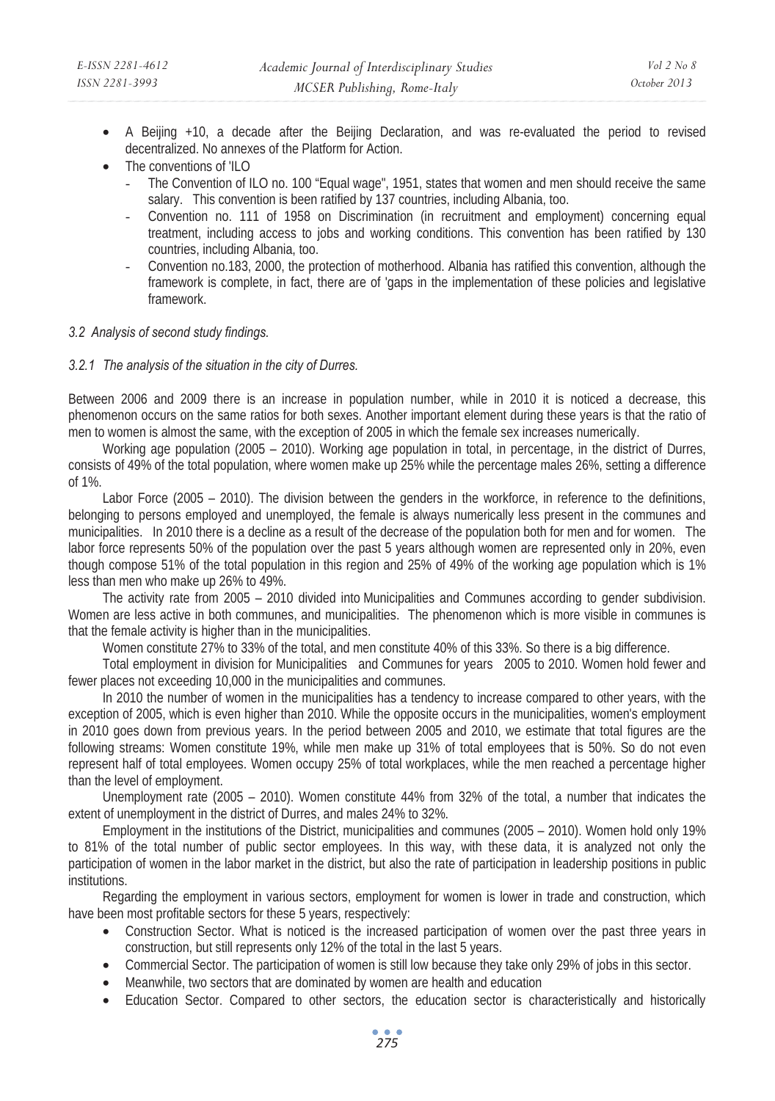- A Beijing +10, a decade after the Beijing Declaration, and was re-evaluated the period to revised decentralized. No annexes of the Platform for Action.
- The conventions of 'ILO
	- The Convention of ILO no. 100 "Equal wage", 1951, states that women and men should receive the same salary. This convention is been ratified by 137 countries, including Albania, too.
	- Convention no. 111 of 1958 on Discrimination (in recruitment and employment) concerning equal treatment, including access to jobs and working conditions. This convention has been ratified by 130 countries, including Albania, too.
	- Convention no.183, 2000, the protection of motherhood. Albania has ratified this convention, although the framework is complete, in fact, there are of 'gaps in the implementation of these policies and legislative framework.

# *3.2 Analysis of second study findings.*

#### *3.2.1 The analysis of the situation in the city of Durres.*

Between 2006 and 2009 there is an increase in population number, while in 2010 it is noticed a decrease, this phenomenon occurs on the same ratios for both sexes. Another important element during these years is that the ratio of men to women is almost the same, with the exception of 2005 in which the female sex increases numerically.

Working age population (2005 – 2010). Working age population in total, in percentage, in the district of Durres, consists of 49% of the total population, where women make up 25% while the percentage males 26%, setting a difference of 1%.

Labor Force (2005 – 2010). The division between the genders in the workforce, in reference to the definitions, belonging to persons employed and unemployed, the female is always numerically less present in the communes and municipalities. In 2010 there is a decline as a result of the decrease of the population both for men and for women. The labor force represents 50% of the population over the past 5 years although women are represented only in 20%, even though compose 51% of the total population in this region and 25% of 49% of the working age population which is 1% less than men who make up 26% to 49%.

The activity rate from 2005 – 2010 divided into Municipalities and Communes according to gender subdivision. Women are less active in both communes, and municipalities. The phenomenon which is more visible in communes is that the female activity is higher than in the municipalities.

Women constitute 27% to 33% of the total, and men constitute 40% of this 33%. So there is a big difference.

Total employment in division for Municipalities and Communes for years 2005 to 2010. Women hold fewer and fewer places not exceeding 10,000 in the municipalities and communes.

In 2010 the number of women in the municipalities has a tendency to increase compared to other years, with the exception of 2005, which is even higher than 2010. While the opposite occurs in the municipalities, women's employment in 2010 goes down from previous years. In the period between 2005 and 2010, we estimate that total figures are the following streams: Women constitute 19%, while men make up 31% of total employees that is 50%. So do not even represent half of total employees. Women occupy 25% of total workplaces, while the men reached a percentage higher than the level of employment.

Unemployment rate (2005 – 2010). Women constitute 44% from 32% of the total, a number that indicates the extent of unemployment in the district of Durres, and males 24% to 32%.

Employment in the institutions of the District, municipalities and communes (2005 – 2010). Women hold only 19% to 81% of the total number of public sector employees. In this way, with these data, it is analyzed not only the participation of women in the labor market in the district, but also the rate of participation in leadership positions in public institutions.

Regarding the employment in various sectors, employment for women is lower in trade and construction, which have been most profitable sectors for these 5 years, respectively:

- Construction Sector. What is noticed is the increased participation of women over the past three years in construction, but still represents only 12% of the total in the last 5 years.
- Commercial Sector. The participation of women is still low because they take only 29% of jobs in this sector.
- Meanwhile, two sectors that are dominated by women are health and education
- Education Sector. Compared to other sectors, the education sector is characteristically and historically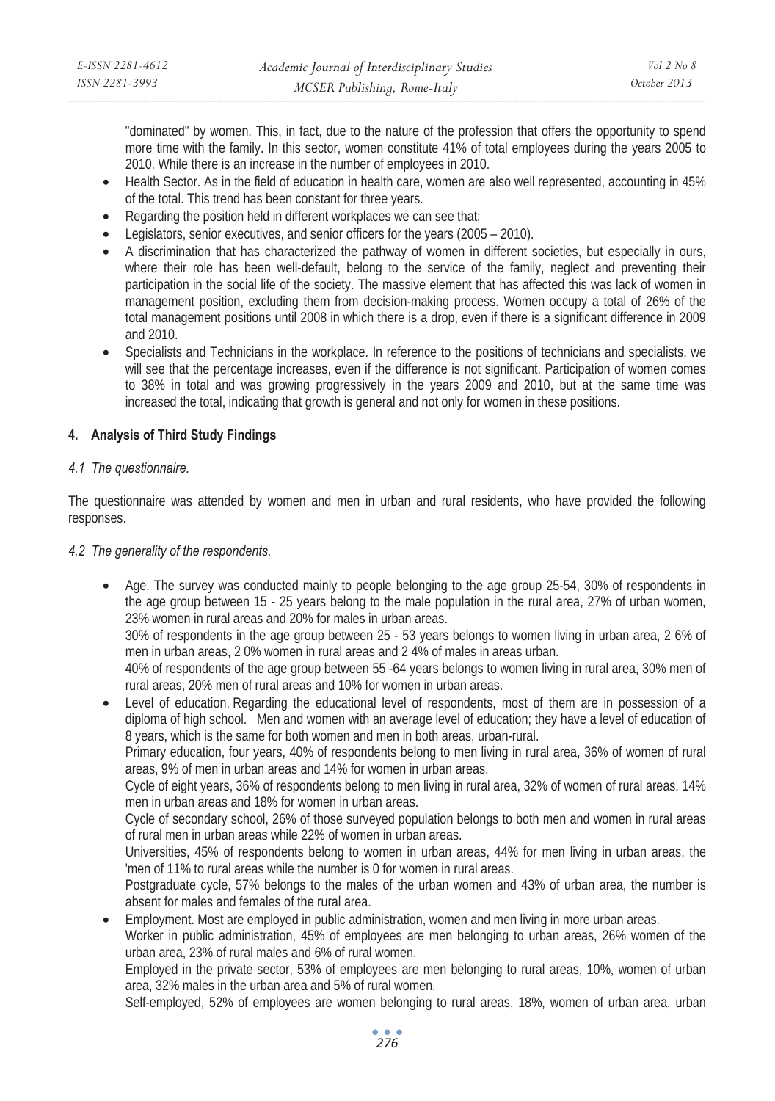| E-ISSN 2281-4612 | Academic Journal of Interdisciplinary Studies | $Vol\ 2\ No\ 8$ |
|------------------|-----------------------------------------------|-----------------|
| ISSN 2281-3993   | MCSER Publishing, Rome-Italy                  | October 2013    |

"dominated" by women. This, in fact, due to the nature of the profession that offers the opportunity to spend more time with the family. In this sector, women constitute 41% of total employees during the years 2005 to 2010. While there is an increase in the number of employees in 2010.

- Health Sector. As in the field of education in health care, women are also well represented, accounting in 45% of the total. This trend has been constant for three years.
- Regarding the position held in different workplaces we can see that:
- Legislators, senior executives, and senior officers for the years (2005 2010).
- A discrimination that has characterized the pathway of women in different societies, but especially in ours, where their role has been well-default, belong to the service of the family, neglect and preventing their participation in the social life of the society. The massive element that has affected this was lack of women in management position, excluding them from decision-making process. Women occupy a total of 26% of the total management positions until 2008 in which there is a drop, even if there is a significant difference in 2009 and 2010.
- Specialists and Technicians in the workplace. In reference to the positions of technicians and specialists, we will see that the percentage increases, even if the difference is not significant. Participation of women comes to 38% in total and was growing progressively in the years 2009 and 2010, but at the same time was increased the total, indicating that growth is general and not only for women in these positions.

# **4. Analysis of Third Study Findings**

#### *4.1 The questionnaire.*

The questionnaire was attended by women and men in urban and rural residents, who have provided the following responses.

#### *4.2 The generality of the respondents.*

• Age. The survey was conducted mainly to people belonging to the age group 25-54, 30% of respondents in the age group between 15 - 25 years belong to the male population in the rural area, 27% of urban women, 23% women in rural areas and 20% for males in urban areas.

30% of respondents in the age group between 25 - 53 years belongs to women living in urban area, 2 6% of men in urban areas, 2 0% women in rural areas and 2 4% of males in areas urban.

40% of respondents of the age group between 55 -64 years belongs to women living in rural area, 30% men of rural areas, 20% men of rural areas and 10% for women in urban areas.

Level of education. Regarding the educational level of respondents, most of them are in possession of a diploma of high school. Men and women with an average level of education; they have a level of education of 8 years, which is the same for both women and men in both areas, urban-rural.

Primary education, four years, 40% of respondents belong to men living in rural area, 36% of women of rural areas, 9% of men in urban areas and 14% for women in urban areas.

Cycle of eight years, 36% of respondents belong to men living in rural area, 32% of women of rural areas, 14% men in urban areas and 18% for women in urban areas.

Cycle of secondary school, 26% of those surveyed population belongs to both men and women in rural areas of rural men in urban areas while 22% of women in urban areas.

Universities, 45% of respondents belong to women in urban areas, 44% for men living in urban areas, the 'men of 11% to rural areas while the number is 0 for women in rural areas.

Postgraduate cycle, 57% belongs to the males of the urban women and 43% of urban area, the number is absent for males and females of the rural area.

• Employment. Most are employed in public administration, women and men living in more urban areas.

Worker in public administration, 45% of employees are men belonging to urban areas, 26% women of the urban area, 23% of rural males and 6% of rural women.

Employed in the private sector, 53% of employees are men belonging to rural areas, 10%, women of urban area, 32% males in the urban area and 5% of rural women.

Self-employed, 52% of employees are women belonging to rural areas, 18%, women of urban area, urban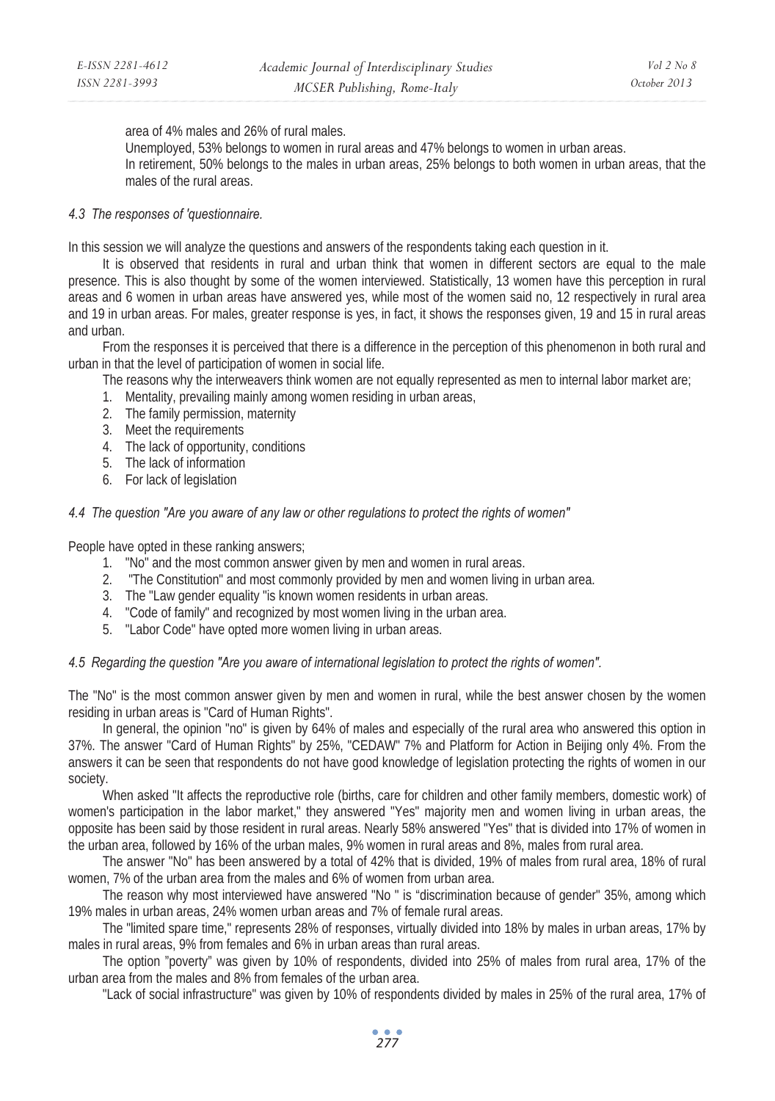area of 4% males and 26% of rural males.

Unemployed, 53% belongs to women in rural areas and 47% belongs to women in urban areas. In retirement, 50% belongs to the males in urban areas, 25% belongs to both women in urban areas, that the males of the rural areas.

# *4.3 The responses of 'questionnaire.*

In this session we will analyze the questions and answers of the respondents taking each question in it.

It is observed that residents in rural and urban think that women in different sectors are equal to the male presence. This is also thought by some of the women interviewed. Statistically, 13 women have this perception in rural areas and 6 women in urban areas have answered yes, while most of the women said no, 12 respectively in rural area and 19 in urban areas. For males, greater response is yes, in fact, it shows the responses given, 19 and 15 in rural areas and urban.

From the responses it is perceived that there is a difference in the perception of this phenomenon in both rural and urban in that the level of participation of women in social life.

The reasons why the interweavers think women are not equally represented as men to internal labor market are;

- 1. Mentality, prevailing mainly among women residing in urban areas,
- 2. The family permission, maternity
- 3. Meet the requirements
- 4. The lack of opportunity, conditions
- 5. The lack of information
- 6. For lack of legislation

#### *4.4 The question "Are you aware of any law or other regulations to protect the rights of women"*

People have opted in these ranking answers;

- 1. "No" and the most common answer given by men and women in rural areas.
- 2. "The Constitution" and most commonly provided by men and women living in urban area.
- 3. The "Law gender equality "is known women residents in urban areas.
- 4. "Code of family" and recognized by most women living in the urban area.
- 5. "Labor Code" have opted more women living in urban areas.

#### *4.5 Regarding the question "Are you aware of international legislation to protect the rights of women".*

The "No" is the most common answer given by men and women in rural, while the best answer chosen by the women residing in urban areas is "Card of Human Rights".

In general, the opinion "no" is given by 64% of males and especially of the rural area who answered this option in 37%. The answer "Card of Human Rights" by 25%, "CEDAW" 7% and Platform for Action in Beijing only 4%. From the answers it can be seen that respondents do not have good knowledge of legislation protecting the rights of women in our society.

When asked "It affects the reproductive role (births, care for children and other family members, domestic work) of women's participation in the labor market," they answered "Yes" majority men and women living in urban areas, the opposite has been said by those resident in rural areas. Nearly 58% answered "Yes" that is divided into 17% of women in the urban area, followed by 16% of the urban males, 9% women in rural areas and 8%, males from rural area.

The answer "No" has been answered by a total of 42% that is divided, 19% of males from rural area, 18% of rural women, 7% of the urban area from the males and 6% of women from urban area.

The reason why most interviewed have answered "No " is "discrimination because of gender" 35%, among which 19% males in urban areas, 24% women urban areas and 7% of female rural areas.

The "limited spare time," represents 28% of responses, virtually divided into 18% by males in urban areas, 17% by males in rural areas, 9% from females and 6% in urban areas than rural areas.

The option "poverty" was given by 10% of respondents, divided into 25% of males from rural area, 17% of the urban area from the males and 8% from females of the urban area.

"Lack of social infrastructure" was given by 10% of respondents divided by males in 25% of the rural area, 17% of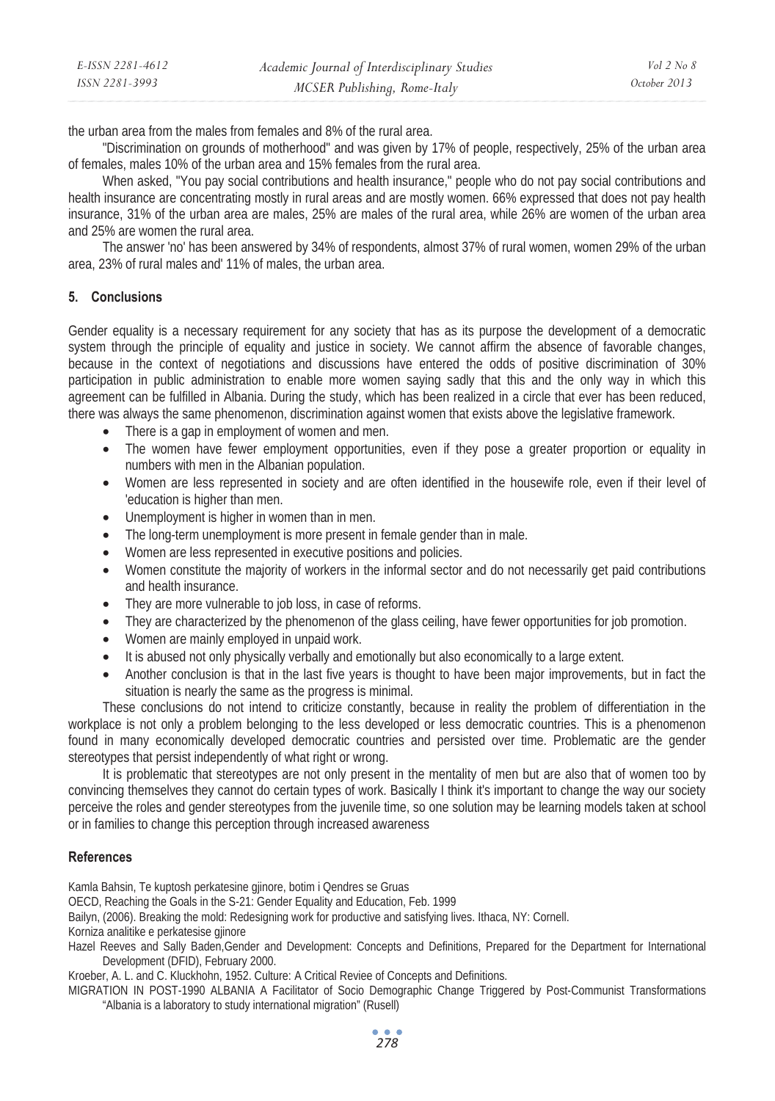| E-ISSN 2281-4612 | Academic Journal of Interdisciplinary Studies | Vol 2 No 8   |
|------------------|-----------------------------------------------|--------------|
| ISSN 2281-3993   | MCSER Publishing, Rome-Italy                  | October 2013 |

the urban area from the males from females and 8% of the rural area.

"Discrimination on grounds of motherhood" and was given by 17% of people, respectively, 25% of the urban area of females, males 10% of the urban area and 15% females from the rural area.

When asked, "You pay social contributions and health insurance," people who do not pay social contributions and health insurance are concentrating mostly in rural areas and are mostly women. 66% expressed that does not pay health insurance, 31% of the urban area are males, 25% are males of the rural area, while 26% are women of the urban area and 25% are women the rural area.

The answer 'no' has been answered by 34% of respondents, almost 37% of rural women, women 29% of the urban area, 23% of rural males and' 11% of males, the urban area.

#### **5. Conclusions**

Gender equality is a necessary requirement for any society that has as its purpose the development of a democratic system through the principle of equality and justice in society. We cannot affirm the absence of favorable changes, because in the context of negotiations and discussions have entered the odds of positive discrimination of 30% participation in public administration to enable more women saying sadly that this and the only way in which this agreement can be fulfilled in Albania. During the study, which has been realized in a circle that ever has been reduced, there was always the same phenomenon, discrimination against women that exists above the legislative framework.

- There is a gap in employment of women and men.
- The women have fewer employment opportunities, even if they pose a greater proportion or equality in numbers with men in the Albanian population.
- Women are less represented in society and are often identified in the housewife role, even if their level of 'education is higher than men.
- Unemployment is higher in women than in men.
- The long-term unemployment is more present in female gender than in male.
- Women are less represented in executive positions and policies.
- Women constitute the majority of workers in the informal sector and do not necessarily get paid contributions and health insurance.
- They are more vulnerable to job loss, in case of reforms.
- They are characterized by the phenomenon of the glass ceiling, have fewer opportunities for job promotion.
- Women are mainly employed in unpaid work.
- It is abused not only physically verbally and emotionally but also economically to a large extent.
- Another conclusion is that in the last five years is thought to have been major improvements, but in fact the situation is nearly the same as the progress is minimal.

These conclusions do not intend to criticize constantly, because in reality the problem of differentiation in the workplace is not only a problem belonging to the less developed or less democratic countries. This is a phenomenon found in many economically developed democratic countries and persisted over time. Problematic are the gender stereotypes that persist independently of what right or wrong.

It is problematic that stereotypes are not only present in the mentality of men but are also that of women too by convincing themselves they cannot do certain types of work. Basically I think it's important to change the way our society perceive the roles and gender stereotypes from the juvenile time, so one solution may be learning models taken at school or in families to change this perception through increased awareness

#### **References**

Kamla Bahsin, Te kuptosh perkatesine gjinore, botim i Qendres se Gruas

OECD, Reaching the Goals in the S-21: Gender Equality and Education, Feb. 1999

Bailyn, (2006). Breaking the mold: Redesigning work for productive and satisfying lives. Ithaca, NY: Cornell.

Korniza analitike e perkatesise gjinore

Hazel Reeves and Sally Baden,Gender and Development: Concepts and Definitions, Prepared for the Department for International Development (DFID), February 2000.

Kroeber, A. L. and C. Kluckhohn, 1952. Culture: A Critical Reviee of Concepts and Definitions.

MIGRATION IN POST-1990 ALBANIA A Facilitator of Socio Demographic Change Triggered by Post-Communist Transformations "Albania is a laboratory to study international migration" (Rusell)